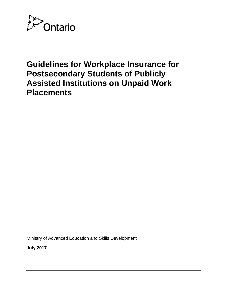

# **Guidelines for Workplace Insurance for Postsecondary Students of Publicly Assisted Institutions on Unpaid Work Placements**

Ministry of Advanced Education and Skills Development

**July 2017**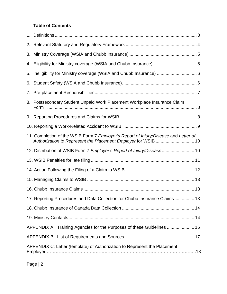## **Table of Contents**

| 4. Eligibility for Ministry coverage (WSIA and Chubb Insurance) 5                                                                                     |  |
|-------------------------------------------------------------------------------------------------------------------------------------------------------|--|
| 5. Ineligibility for Ministry coverage (WSIA and Chubb Insurance)  6                                                                                  |  |
|                                                                                                                                                       |  |
|                                                                                                                                                       |  |
| 8. Postsecondary Student Unpaid Work Placement Workplace Insurance Claim                                                                              |  |
|                                                                                                                                                       |  |
|                                                                                                                                                       |  |
| 11. Completion of the WSIB Form 7 Employer's Report of Injury/Disease and Letter of<br>Authorization to Represent the Placement Employer for WSIB  10 |  |
| 12. Distribution of WSIB Form 7 Employer's Report of Injury/Disease 10                                                                                |  |
|                                                                                                                                                       |  |
|                                                                                                                                                       |  |
|                                                                                                                                                       |  |
|                                                                                                                                                       |  |
| 17. Reporting Procedures and Data Collection for Chubb Insurance Claims 13                                                                            |  |
|                                                                                                                                                       |  |
|                                                                                                                                                       |  |
| APPENDIX A: Training Agencies for the Purposes of these Guidelines  15                                                                                |  |
|                                                                                                                                                       |  |
| APPENDIX C: Letter (template) of Authorization to Represent the Placement                                                                             |  |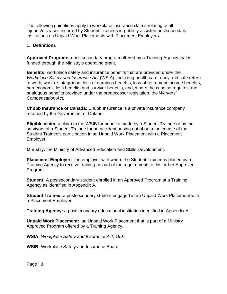The following guidelines apply to workplace insurance claims relating to all injuries/diseases incurred by Student Trainees in publicly assisted postsecondary institutions on Unpaid Work Placements with Placement Employers.

#### **1. Definitions**

**Approved Program:** a postsecondary program offered by a Training Agency that is funded through the Ministry's operating grant.

**Benefits:** workplace safety and insurance benefits that are provided under the *Workplace Safety and Insurance Act* (WSIA), including health care, early and safe return to work, work re-integration, loss of earnings benefits, loss of retirement income benefits, non-economic loss benefits and survivor benefits, and, where the case so requires, the analogous benefits provided under the predecessor legislation, the *Workers' Compensation Act*.

**Chubb Insurance of Canada:** Chubb Insurance is a private insurance company retained by the Government of Ontario.

**Eligible claim:** a claim to the WSIB for benefits made by a Student Trainee or by the survivors of a Student Trainee for an accident arising out of or in the course of the Student Trainee's participation in an Unpaid Work Placement with a Placement Employer.

**Ministry:** the Ministry of Advanced Education and Skills Development.

**Placement Employer:** the employer with whom the Student Trainee is placed by a Training Agency to receive training as part of the requirements of his or her Approved Program.

**Student:** A postsecondary student enrolled in an Approved Program at a Training Agency as identified in Appendix A**.** 

**Student Trainee:** a postsecondary student engaged in an Unpaid Work Placement with a Placement Employer.

**Training Agency:** a postsecondary educational institution identified in Appendix A.

**Unpaid Work Placement:** an Unpaid Work Placement that is part of a Ministry Approved Program offered by a Training Agency.

**WSIA:** *Workplace Safety and Insuranc*e *Act, 1997*.

**WSIB:** Workplace Safety and Insurance Board.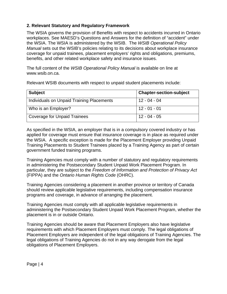## **2. Relevant Statutory and Regulatory Framework**

The WSIA governs the provision of Benefits with respect to accidents incurred in Ontario workplaces. See MAESD's Questions and Answers for the definition of "accident" under the WSIA. The WSIA is administered by the WSIB. The *WSIB Operational Policy Manual* sets out the WSIB's policies relating to its decisions about workplace insurance coverage for unpaid trainees, placement employers' rights and obligations, premiums, benefits, and other related workplace safety and insurance issues.

The full content of the *WSIB Operational Policy Manual* is available on line at www.wsib.on.ca.

Relevant WSIB documents with respect to unpaid student placements include:

| <b>Subject</b>                            | <b>Chapter-section-subject</b> |
|-------------------------------------------|--------------------------------|
| Individuals on Unpaid Training Placements | $12 - 04 - 04$                 |
| Who is an Employer?                       | $12 - 01 - 01$                 |
| Coverage for Unpaid Trainees              | $12 - 04 - 05$                 |

As specified in the WSIA, an employer that is in a compulsory covered industry or has applied for coverage must ensure that insurance coverage is in place as required under the WSIA. A specific exception is made for the Placement Employer providing Unpaid Training Placements to Student Trainees placed by a Training Agency as part of certain government funded training programs.

Training Agencies must comply with a number of statutory and regulatory requirements in administering the Postsecondary Student Unpaid Work Placement Program. In particular, they are subject to the *Freedom of Information and Protection of Privacy Act* (FIPPA) and the *Ontario Human Rights Code* (OHRC).

Training Agencies considering a placement in another province or territory of Canada should review applicable legislative requirements, including compensation insurance programs and coverage, in advance of arranging the placement.

Training Agencies must comply with all applicable legislative requirements in administering the Postsecondary Student Unpaid Work Placement Program, whether the placement is in or outside Ontario.

Training Agencies should be aware that Placement Employers also have legislative requirements with which Placement Employers must comply. The legal obligations of Placement Employers are independent of the legal obligations of Training Agencies. The legal obligations of Training Agencies do not in any way derogate from the legal obligations of Placement Employers.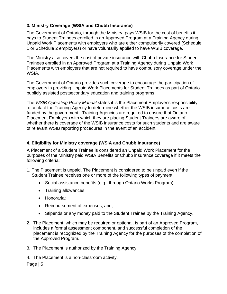## **3. Ministry Coverage (WSIA and Chubb Insurance)**

The Government of Ontario, through the Ministry, pays WSIB for the cost of benefits it pays to Student Trainees enrolled in an Approved Program at a Training Agency during Unpaid Work Placements with employers who are either compulsorily covered (Schedule 1 or Schedule 2 employers) or have voluntarily applied to have WSIB coverage.

The Ministry also covers the cost of private insurance with Chubb Insurance for Student Trainees enrolled in an Approved Program at a Training Agency during Unpaid Work Placements with employers that are not required to have compulsory coverage under the WSIA.

The Government of Ontario provides such coverage to encourage the participation of employers in providing Unpaid Work Placements for Student Trainees as part of Ontario publicly assisted postsecondary education and training programs.

The *WSIB Operating Policy Manual* states it is the Placement Employer's responsibility to contact the Training Agency to determine whether the WSIB insurance costs are funded by the government. Training Agencies are required to ensure that Ontario Placement Employers with which they are placing Student Trainees are aware of whether there is coverage of the WSIB insurance costs for such students and are aware of relevant WSIB reporting procedures in the event of an accident.

## **4. Eligibility for Ministry coverage (WSIA and Chubb Insurance)**

A Placement of a Student Trainee is considered an Unpaid Work Placement for the purposes of the Ministry paid WSIA Benefits or Chubb insurance coverage if it meets the following criteria:

- 1. The Placement is unpaid. The Placement is considered to be unpaid even if the Student Trainee receives one or more of the following types of payment:
	- Social assistance benefits (e.g., through Ontario Works Program);
	- Training allowances;
	- Honoraria;
	- Reimbursement of expenses; and,
	- Stipends or any money paid to the Student Trainee by the Training Agency.
- 2. The Placement, which may be required or optional, is part of an Approved Program, includes a formal assessment component, and successful completion of the placement is recognized by the Training Agency for the purposes of the completion of the Approved Program.
- 3. The Placement is authorized by the Training Agency.
- 4. The Placement is a non-classroom activity.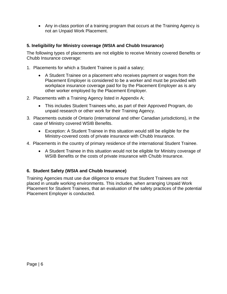Any in-class portion of a training program that occurs at the Training Agency is not an Unpaid Work Placement.

## **5. Ineligibility for Ministry coverage (WSIA and Chubb Insurance)**

The following types of placements are not eligible to receive Ministry covered Benefits or Chubb Insurance coverage:

- 1. Placements for which a Student Trainee is paid a salary;
	- A Student Trainee on a placement who receives payment or wages from the Placement Employer is considered to be a worker and must be provided with workplace insurance coverage paid for by the Placement Employer as is any other worker employed by the Placement Employer.
- 2. Placements with a Training Agency listed in Appendix A;
	- This includes Student Trainees who, as part of their Approved Program, do unpaid research or other work for their Training Agency.
- 3. Placements outside of Ontario (international and other Canadian jurisdictions), in the case of Ministry covered WSIB Benefits.
	- Exception: A Student Trainee in this situation would still be eligible for the Ministry-covered costs of private insurance with Chubb Insurance.
- 4. Placements in the country of primary residence of the international Student Trainee.
	- A Student Trainee in this situation would not be eligible for Ministry coverage of WSIB Benefits or the costs of private insurance with Chubb Insurance.

## **6. Student Safety (WSIA and Chubb Insurance)**

Training Agencies must use due diligence to ensure that Student Trainees are not placed in unsafe working environments. This includes, when arranging Unpaid Work Placement for Student Trainees, that an evaluation of the safety practices of the potential Placement Employer is conducted.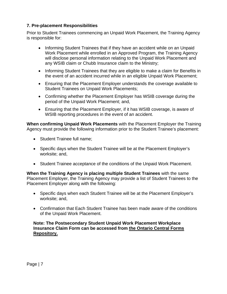## **7. Pre-placement Responsibilities**

Prior to Student Trainees commencing an Unpaid Work Placement, the Training Agency is responsible for:

- Informing Student Trainees that if they have an accident while on an Unpaid Work Placement while enrolled in an Approved Program, the Training Agency will disclose personal information relating to the Unpaid Work Placement and any WSIB claim or Chubb Insurance claim to the Ministry;
- Informing Student Trainees that they are eligible to make a claim for Benefits in the event of an accident incurred while in an eligible Unpaid Work Placement;
- Ensuring that the Placement Employer understands the coverage available to Student Trainees on Unpaid Work Placements;
- Confirming whether the Placement Employer has WSIB coverage during the period of the Unpaid Work Placement; and,
- Ensuring that the Placement Employer, if it has WSIB coverage, is aware of WSIB reporting procedures in the event of an accident.

**When confirming Unpaid Work Placements** with the Placement Employer the Training Agency must provide the following information prior to the Student Trainee's placement:

- Student Trainee full name;
- Specific days when the Student Trainee will be at the Placement Employer's worksite; and,
- Student Trainee acceptance of the conditions of the Unpaid Work Placement.

**When the Training Agency is placing multiple Student Trainees** with the same Placement Employer, the Training Agency may provide a list of Student Trainees to the Placement Employer along with the following:

- Specific days when each Student Trainee will be at the Placement Employer's worksite; and,
- Confirmation that Each Student Trainee has been made aware of the conditions of the Unpaid Work Placement.

**Note: The Postsecondary Student Unpaid Work Placement Workplace Insurance Claim Form can be accessed from the Ontario Central Forms Repository.**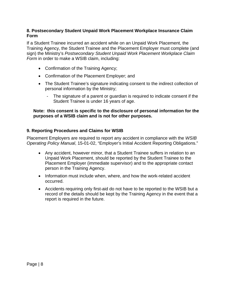## **8. Postsecondary Student Unpaid Work Placement Workplace Insurance Claim Form**

If a Student Trainee incurred an accident while on an Unpaid Work Placement, the Training Agency, the Student Trainee and the Placement Employer must complete (and sign) the Ministry's *Postsecondary Student Unpaid Work Placement Workplace Claim Form* in order to make a WSIB claim, including:

- Confirmation of the Training Agency;
- Confirmation of the Placement Employer; and
- The Student Trainee's signature indicating consent to the indirect collection of personal information by the Ministry;
	- The signature of a parent or guardian is required to indicate consent if the Student Trainee is under 16 years of age.

#### **Note: this consent is specific to the disclosure of personal information for the purposes of a WSIB claim and is not for other purposes.**

#### **9. Reporting Procedures and Claims for WSIB**

Placement Employers are required to report any accident in compliance with the *WSIB Operating Policy Manual*, 15-01-02, "Employer's Initial Accident Reporting Obligations."

- Any accident, however minor, that a Student Trainee suffers in relation to an Unpaid Work Placement, should be reported by the Student Trainee to the Placement Employer (immediate supervisor) and to the appropriate contact person in the Training Agency.
- Information must include when, where, and how the work-related accident occurred.
- Accidents requiring only first-aid do not have to be reported to the WSIB but a record of the details should be kept by the Training Agency in the event that a report is required in the future.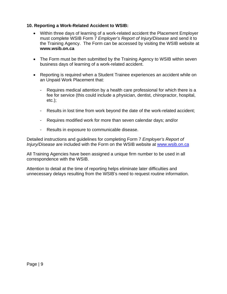## **10. Reporting a Work-Related Accident to WSIB:**

- Within three days of learning of a work-related accident the Placement Employer must complete WSIB Form 7 *Employer's Report of Injury/Disease* and send it to the Training Agency. The Form can be accessed by visiting the WSIB website at **www.wsib.on.ca**
- The Form must be then submitted by the Training Agency to WSIB within seven business days of learning of a work-related accident.
- Reporting is required when a Student Trainee experiences an accident while on an Unpaid Work Placement that:
	- Requires medical attention by a health care professional for which there is a fee for service (this could include a physician, dentist, chiropractor, hospital, etc.);
	- Results in lost time from work beyond the date of the work-related accident;
	- Requires modified work for more than seven calendar days; and/or
	- Results in exposure to communicable disease.

Detailed instructions and guidelines for completing Form 7 *Employer's Report of Injury/Disease* are included with the Form on the WSIB website at www.wsib.on.ca

All Training Agencies have been assigned a unique firm number to be used in all correspondence with the WSIB.

Attention to detail at the time of reporting helps eliminate later difficulties and unnecessary delays resulting from the WSIB's need to request routine information.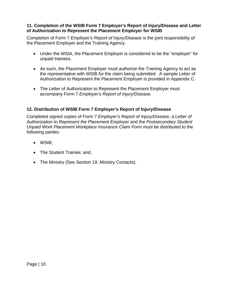## **11. Completion of the WSIB Form 7 Employer's Report of Injury/Disease and Letter of Authorization to Represent the Placement Employer for WSIB**

Completion of Form 7 *Employer's Report of Injury/Disease* is the joint responsibility of the Placement Employer and the Training Agency.

- Under the WSIA, the Placement Employer is considered to be the "employer" for unpaid trainees.
- As such, the Placement Employer must authorize the Training Agency to act as the representative with WSIB for the claim being submitted. A sample Letter of Authorization to Represent the Placement Employer is provided in Appendix C.
- The Letter of Authorization to Represent the Placement Employer must accompany Form 7 *Employer's Report of Injury/Disease.*

## **12. Distribution of WSIB Form 7 Employer's Report of Injury/Disease**

Completed signed copies of Form 7 *Employer's Report of Injury/Disease*, a *Letter of Authorization to Represent the Placement Employer* and the *Postsecondary Student Unpaid Work Placement Workplace Insurance Claim Form* must be distributed to the following parties:

- WSIB;
- The Student Trainee; and,
- The Ministry (See Section 19, Ministry Contacts).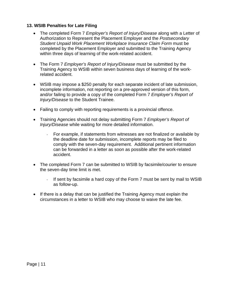## **13. WSIB Penalties for Late Filing**

- The completed Form 7 *Employer's Report of Injury/Disease* along with a Letter of Authorization to Represent the Placement Employer and the *Postsecondary Student Unpaid Work Placement Workplace Insurance Claim Form* must be completed by the Placement Employer and submitted to the Training Agency within three days of learning of the work-related accident.
- The Form 7 *Employer's Report of Injury/Disease* must be submitted by the Training Agency to WSIB within seven business days of learning of the workrelated accident.
- WSIB may impose a \$250 penalty for each separate incident of late submission, incomplete information, not reporting on a pre-approved version of this form, and/or failing to provide a copy of the completed Form 7 *Employer's Report of Injury/Disease* to the Student Trainee.
- Failing to comply with reporting requirements is a provincial offence.
- Training Agencies should not delay submitting Form 7 *Employer's Report of Injury/Disease* while waiting for more detailed information.
	- For example, if statements from witnesses are not finalized or available by the deadline date for submission, incomplete reports may be filed to comply with the seven-day requirement. Additional pertinent information can be forwarded in a letter as soon as possible after the work-related accident.
- The completed Form 7 can be submitted to WSIB by facsimile/courier to ensure the seven-day time limit is met.
	- If sent by facsimile a hard copy of the Form 7 must be sent by mail to WSIB as follow-up.
- If there is a delay that can be justified the Training Agency must explain the circumstances in a letter to WSIB who may choose to waive the late fee.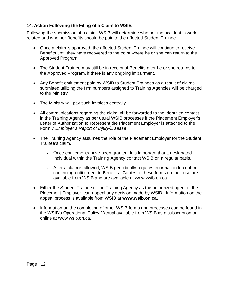## **14. Action Following the Filing of a Claim to WSIB**

Following the submission of a claim, WSIB will determine whether the accident is workrelated and whether Benefits should be paid to the affected Student Trainee.

- Once a claim is approved, the affected Student Trainee will continue to receive Benefits until they have recovered to the point where he or she can return to the Approved Program.
- The Student Trainee may still be in receipt of Benefits after he or she returns to the Approved Program, if there is any ongoing impairment.
- Any Benefit entitlement paid by WSIB to Student Trainees as a result of claims submitted utilizing the firm numbers assigned to Training Agencies will be charged to the Ministry.
- The Ministry will pay such invoices centrally.
- All communications regarding the claim will be forwarded to the identified contact in the Training Agency as per usual WSIB processes if the Placement Employer's Letter of Authorization to Represent the Placement Employer is attached to the Form 7 *Employer's Report of Injury/Disease*.
- The Training Agency assumes the role of the Placement Employer for the Student Trainee's claim.
	- Once entitlements have been granted, it is important that a designated individual within the Training Agency contact WSIB on a regular basis.
	- After a claim is allowed, WSIB periodically requires information to confirm continuing entitlement to Benefits. Copies of these forms on their use are available from WSIB and are available at www.wsib.on.ca.
- Either the Student Trainee or the Training Agency as the authorized agent of the Placement Employer, can appeal any decision made by WSIB. Information on the appeal process is available from WSIB at **www.wsib.on.ca.**
- Information on the completion of other WSIB forms and processes can be found in the WSIB's Operational Policy Manual available from WSIB as a subscription or online at www.wsib.on.ca.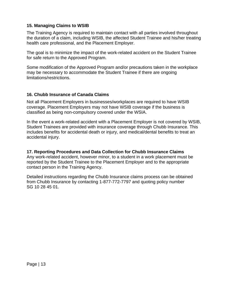## **15. Managing Claims to WSIB**

The Training Agency is required to maintain contact with all parties involved throughout the duration of a claim, including WSIB, the affected Student Trainee and his/her treating health care professional, and the Placement Employer.

The goal is to minimize the impact of the work-related accident on the Student Trainee for safe return to the Approved Program.

Some modification of the Approved Program and/or precautions taken in the workplace may be necessary to accommodate the Student Trainee if there are ongoing limitations/restrictions.

#### **16. Chubb Insurance of Canada Claims**

Not all Placement Employers in businesses/workplaces are required to have WSIB coverage. Placement Employers may not have WSIB coverage if the business is classified as being non-compulsory covered under the WSIA.

In the event a work-related accident with a Placement Employer is not covered by WSIB, Student Trainees are provided with insurance coverage through Chubb Insurance. This includes benefits for accidental death or injury, and medical/dental benefits to treat an accidental injury.

**17. Reporting Procedures and Data Collection for Chubb Insurance Claims**  Any work-related accident, however minor, to a student in a work placement must be reported by the Student Trainee to the Placement Employer and to the appropriate contact person in the Training Agency.

Detailed instructions regarding the Chubb Insurance claims process can be obtained from Chubb Insurance by contacting 1-877-772-7797 and quoting policy number SG 10 28 45 01.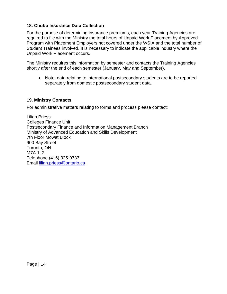### **18. Chubb Insurance Data Collection**

For the purpose of determining insurance premiums, each year Training Agencies are required to file with the Ministry the total hours of Unpaid Work Placement by Approved Program with Placement Employers not covered under the WSIA and the total number of Student Trainees involved. It is necessary to indicate the applicable industry where the Unpaid Work Placement occurs.

The Ministry requires this information by semester and contacts the Training Agencies shortly after the end of each semester (January, May and September).

 Note: data relating to international postsecondary students are to be reported separately from domestic postsecondary student data.

#### **19. Ministry Contacts**

For administrative matters relating to forms and process please contact:

Lilian Priess Colleges Finance Unit Postsecondary Finance and Information Management Branch Ministry of Advanced Education and Skills Development 7th Floor Mowat Block 900 Bay Street Toronto, ON M7A 1L2 Telephone (416) 325-9733 Email lilian.priess@ontario.ca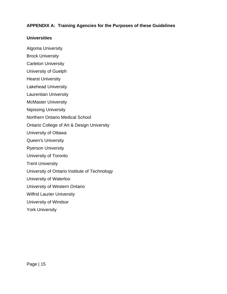## **APPENDIX A: Training Agencies for the Purposes of these Guidelines**

#### **Universities**

- Algoma University
- Brock University
- Carleton University
- University of Guelph
- Hearst University
- Lakehead University
- Laurentian University
- McMaster University
- Nipissing University
- Northern Ontario Medical School
- Ontario College of Art & Design University
- University of Ottawa
- Queen's University
- Ryerson University
- University of Toronto
- Trent University
- University of Ontario Institute of Technology
- University of Waterloo
- University of Western Ontario
- Wilfrid Laurier University
- University of Windsor
- York University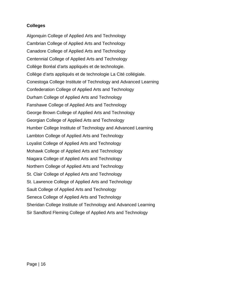## **Colleges**

Algonquin College of Applied Arts and Technology Cambrian College of Applied Arts and Technology Canadore College of Applied Arts and Technology Centennial College of Applied Arts and Technology Collège Boréal d'arts appliqués et de technologie. Collège d'arts appliqués et de technologie La Cité collégiale. Conestoga College Institute of Technology and Advanced Learning Confederation College of Applied Arts and Technology Durham College of Applied Arts and Technology Fanshawe College of Applied Arts and Technology George Brown College of Applied Arts and Technology Georgian College of Applied Arts and Technology Humber College Institute of Technology and Advanced Learning Lambton College of Applied Arts and Technology Loyalist College of Applied Arts and Technology Mohawk College of Applied Arts and Technology Niagara College of Applied Arts and Technology Northern College of Applied Arts and Technology St. Clair College of Applied Arts and Technology St. Lawrence College of Applied Arts and Technology Sault College of Applied Arts and Technology Seneca College of Applied Arts and Technology Sheridan College Institute of Technology and Advanced Learning Sir Sandford Fleming College of Applied Arts and Technology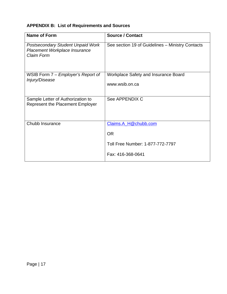## **APPENDIX B: List of Requirements and Sources**

| <b>Name of Form</b>                                                                     | <b>Source / Contact</b>                                       |
|-----------------------------------------------------------------------------------------|---------------------------------------------------------------|
| <b>Postsecondary Student Unpaid Work</b><br>Placement Workplace Insurance<br>Claim Form | See section 19 of Guidelines - Ministry Contacts              |
| WSIB Form 7 – Employer's Report of<br>Injury/Disease                                    | <b>Workplace Safety and Insurance Board</b><br>www.wsib.on.ca |
| Sample Letter of Authorization to<br><b>Represent the Placement Employer</b>            | See APPENDIX C                                                |
| Chubb Insurance                                                                         | Claims.A_H@chubb.com                                          |
|                                                                                         | <b>OR</b>                                                     |
|                                                                                         | Toll Free Number: 1-877-772-7797                              |
|                                                                                         | Fax: 416-368-0641                                             |